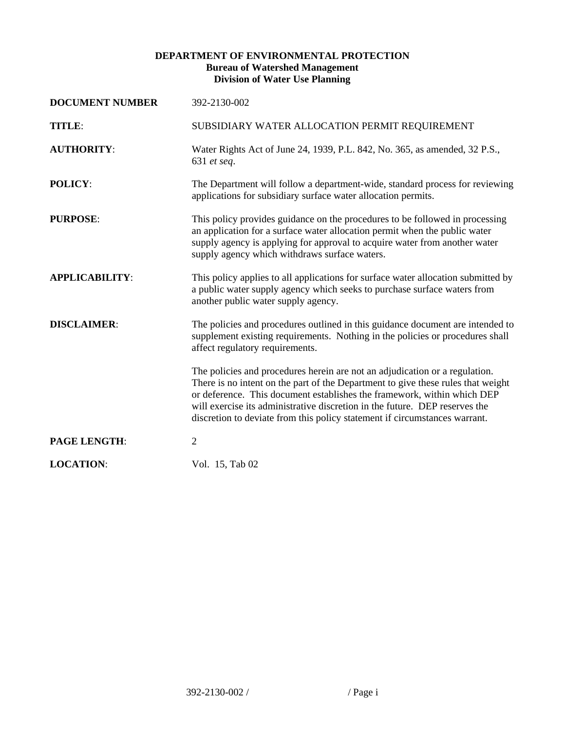## **DEPARTMENT OF ENVIRONMENTAL PROTECTION Bureau of Watershed Management Division of Water Use Planning**

| <b>DOCUMENT NUMBER</b> | 392-2130-002                                                                                                                                                                                                                                                                                                                                                                                            |
|------------------------|---------------------------------------------------------------------------------------------------------------------------------------------------------------------------------------------------------------------------------------------------------------------------------------------------------------------------------------------------------------------------------------------------------|
| TITLE:                 | SUBSIDIARY WATER ALLOCATION PERMIT REQUIREMENT                                                                                                                                                                                                                                                                                                                                                          |
| <b>AUTHORITY:</b>      | Water Rights Act of June 24, 1939, P.L. 842, No. 365, as amended, 32 P.S.,<br>631 et seq.                                                                                                                                                                                                                                                                                                               |
| <b>POLICY:</b>         | The Department will follow a department-wide, standard process for reviewing<br>applications for subsidiary surface water allocation permits.                                                                                                                                                                                                                                                           |
| <b>PURPOSE:</b>        | This policy provides guidance on the procedures to be followed in processing<br>an application for a surface water allocation permit when the public water<br>supply agency is applying for approval to acquire water from another water<br>supply agency which withdraws surface waters.                                                                                                               |
| <b>APPLICABILITY:</b>  | This policy applies to all applications for surface water allocation submitted by<br>a public water supply agency which seeks to purchase surface waters from<br>another public water supply agency.                                                                                                                                                                                                    |
| <b>DISCLAIMER:</b>     | The policies and procedures outlined in this guidance document are intended to<br>supplement existing requirements. Nothing in the policies or procedures shall<br>affect regulatory requirements.                                                                                                                                                                                                      |
|                        | The policies and procedures herein are not an adjudication or a regulation.<br>There is no intent on the part of the Department to give these rules that weight<br>or deference. This document establishes the framework, within which DEP<br>will exercise its administrative discretion in the future. DEP reserves the<br>discretion to deviate from this policy statement if circumstances warrant. |
| <b>PAGE LENGTH:</b>    | $\overline{2}$                                                                                                                                                                                                                                                                                                                                                                                          |
| <b>LOCATION:</b>       | Vol. 15, Tab 02                                                                                                                                                                                                                                                                                                                                                                                         |